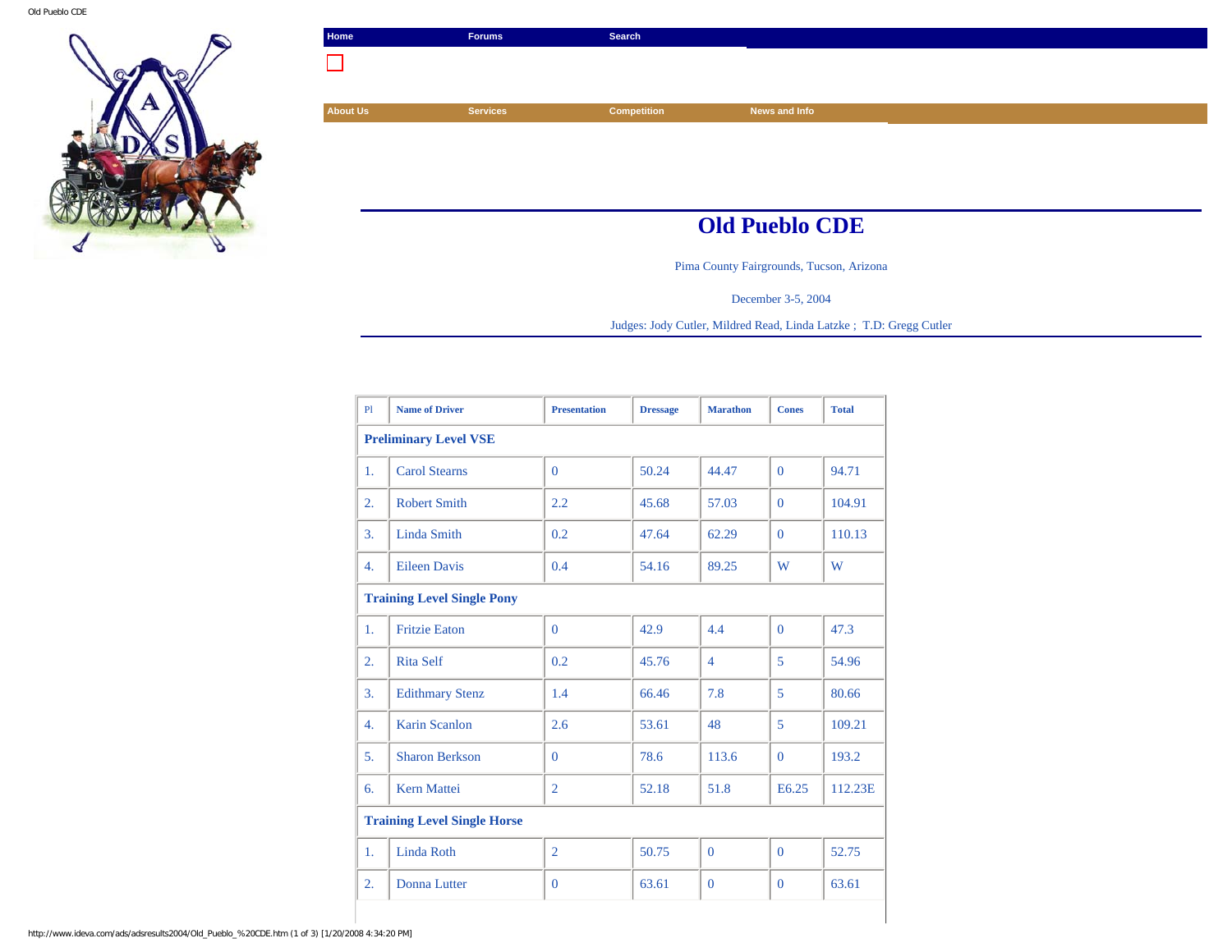

| Home            | <b>Forums</b>   | Search             |                       |
|-----------------|-----------------|--------------------|-----------------------|
|                 |                 |                    |                       |
|                 |                 |                    |                       |
| <b>About Us</b> | <b>Services</b> | <b>Competition</b> | News and Info         |
|                 |                 |                    |                       |
|                 |                 |                    |                       |
|                 |                 |                    |                       |
|                 |                 |                    |                       |
|                 |                 |                    | <b>Old Pueblo CDE</b> |

Pima County Fairgrounds, Tucson, Arizona

December 3-5, 2004

Judges: Jody Cutler, Mildred Read, Linda Latzke ; T.D: Gregg Cutler

| PI                                 | <b>Name of Driver</b>  | <b>Presentation</b> | <b>Dressage</b> | <b>Marathon</b> | <b>Cones</b> | <b>Total</b> |  |
|------------------------------------|------------------------|---------------------|-----------------|-----------------|--------------|--------------|--|
| <b>Preliminary Level VSE</b>       |                        |                     |                 |                 |              |              |  |
| 1.                                 | <b>Carol Stearns</b>   | $\Omega$            | 50.24           | 44.47           | $\Omega$     | 94.71        |  |
| 2.                                 | <b>Robert Smith</b>    | 2.2                 | 45.68           | 57.03           | $\Omega$     | 104.91       |  |
| 3.                                 | Linda Smith            | 0.2                 | 47.64           | 62.29           | $\Omega$     | 110.13       |  |
| $\overline{4}$ .                   | <b>Eileen Davis</b>    | 0.4                 | 54.16           | 89.25           | W            | W            |  |
| <b>Training Level Single Pony</b>  |                        |                     |                 |                 |              |              |  |
| 1.                                 | <b>Fritzie Eaton</b>   | $\Omega$            | 42.9            | 4.4             | $\Omega$     | 47.3         |  |
| 2.                                 | <b>Rita Self</b>       | 0.2                 | 45.76           | $\overline{4}$  | 5            | 54.96        |  |
| 3.                                 | <b>Edithmary Stenz</b> | 1.4                 | 66.46           | 7.8             | 5            | 80.66        |  |
| 4.                                 | <b>Karin Scanlon</b>   | 2.6                 | 53.61           | 48              | 5            | 109.21       |  |
| 5.                                 | <b>Sharon Berkson</b>  | $\Omega$            | 78.6            | 113.6           | $\Omega$     | 193.2        |  |
| 6.                                 | <b>Kern Mattei</b>     | $\overline{2}$      | 52.18           | 51.8            | E6.25        | 112.23E      |  |
| <b>Training Level Single Horse</b> |                        |                     |                 |                 |              |              |  |
| 1.                                 | Linda Roth             | $\overline{2}$      | 50.75           | $\Omega$        | $\Omega$     | 52.75        |  |
| $\overline{2}$ .                   | <b>Donna Lutter</b>    | $\overline{0}$      | 63.61           | $\mathbf{0}$    | $\mathbf{0}$ | 63.61        |  |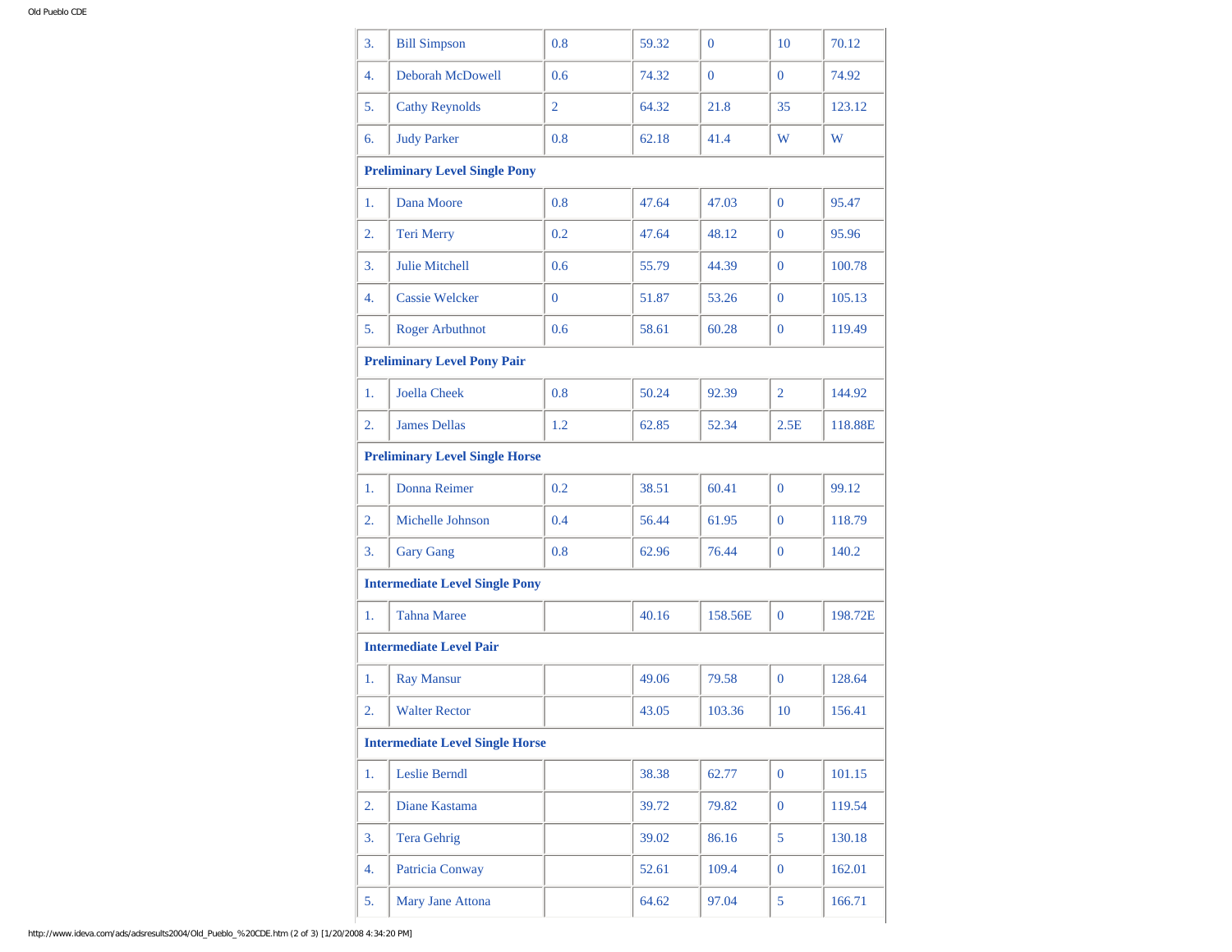| 3.                                     | <b>Bill Simpson</b>                   | 0.8            | 59.32 | $\overline{0}$ | 10             | 70.12   |  |
|----------------------------------------|---------------------------------------|----------------|-------|----------------|----------------|---------|--|
| 4.                                     | <b>Deborah McDowell</b>               | 0.6            | 74.32 | $\overline{0}$ | $\overline{0}$ | 74.92   |  |
| 5.                                     | <b>Cathy Reynolds</b>                 | $\overline{2}$ | 64.32 | 21.8           | 35             | 123.12  |  |
| 6.                                     | <b>Judy Parker</b>                    | 0.8            | 62.18 | 41.4           | W              | W       |  |
|                                        | <b>Preliminary Level Single Pony</b>  |                |       |                |                |         |  |
| 1.                                     | Dana Moore                            | 0.8            | 47.64 | 47.03          | $\overline{0}$ | 95.47   |  |
| 2.                                     | Teri Merry                            | 0.2            | 47.64 | 48.12          | $\overline{0}$ | 95.96   |  |
| 3.                                     | <b>Julie Mitchell</b>                 | 0.6            | 55.79 | 44.39          | $\overline{0}$ | 100.78  |  |
| 4.                                     | <b>Cassie Welcker</b>                 | $\overline{0}$ | 51.87 | 53.26          | $\overline{0}$ | 105.13  |  |
| 5.                                     | <b>Roger Arbuthnot</b>                | 0.6            | 58.61 | 60.28          | $\overline{0}$ | 119.49  |  |
| <b>Preliminary Level Pony Pair</b>     |                                       |                |       |                |                |         |  |
| 1.                                     | <b>Joella Cheek</b>                   | 0.8            | 50.24 | 92.39          | $\overline{2}$ | 144.92  |  |
| 2.                                     | <b>James Dellas</b>                   | 1.2            | 62.85 | 52.34          | 2.5E           | 118.88E |  |
| <b>Preliminary Level Single Horse</b>  |                                       |                |       |                |                |         |  |
| 1.                                     | Donna Reimer                          | 0.2            | 38.51 | 60.41          | $\overline{0}$ | 99.12   |  |
| 2.                                     | Michelle Johnson                      | 0.4            | 56.44 | 61.95          | $\overline{0}$ | 118.79  |  |
| 3.                                     | <b>Gary Gang</b>                      | 0.8            | 62.96 | 76.44          | $\overline{0}$ | 140.2   |  |
|                                        | <b>Intermediate Level Single Pony</b> |                |       |                |                |         |  |
| 1.                                     | <b>Tahna Maree</b>                    |                | 40.16 | 158.56E        | $\mathbf{0}$   | 198.72E |  |
|                                        | <b>Intermediate Level Pair</b>        |                |       |                |                |         |  |
| 1.                                     | <b>Ray Mansur</b>                     |                | 49.06 | 79.58          | $\overline{0}$ | 128.64  |  |
| 2.                                     | <b>Walter Rector</b>                  |                | 43.05 | 103.36         | 10             | 156.41  |  |
| <b>Intermediate Level Single Horse</b> |                                       |                |       |                |                |         |  |
| 1.                                     | Leslie Berndl                         |                | 38.38 | 62.77          | $\mathbf{0}$   | 101.15  |  |
| 2.                                     | Diane Kastama                         |                | 39.72 | 79.82          | $\mathbf{0}$   | 119.54  |  |
| 3.                                     | <b>Tera Gehrig</b>                    |                | 39.02 | 86.16          | 5              | 130.18  |  |
| 4.                                     | Patricia Conway                       |                | 52.61 | 109.4          | $\mathbf{0}$   | 162.01  |  |
| 5.                                     | Mary Jane Attona                      |                | 64.62 | 97.04          | 5              | 166.71  |  |